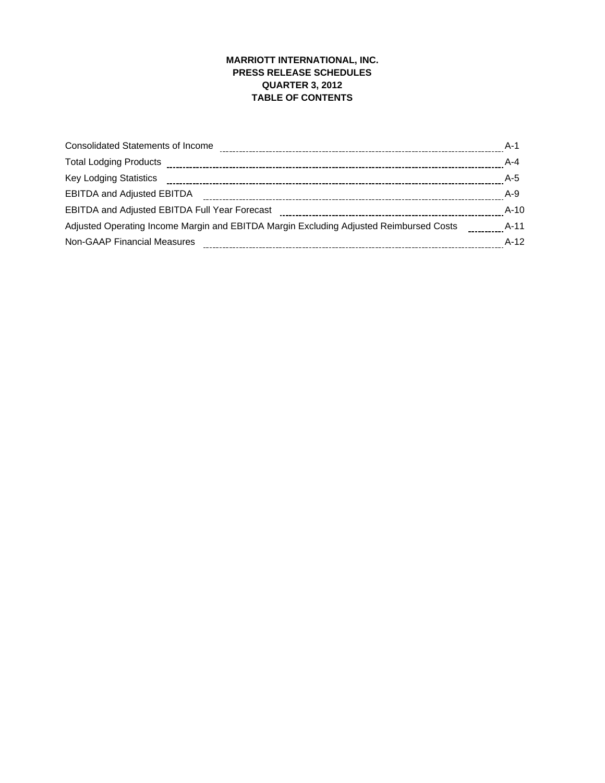# **MARRIOTT INTERNATIONAL, INC. PRESS RELEASE SCHEDULES QUARTER 3, 2012 TABLE OF CONTENTS**

| <b>Consolidated Statements of Income</b>                                               | A-1     |
|----------------------------------------------------------------------------------------|---------|
| <b>Total Lodging Products</b>                                                          | $A - 4$ |
| <b>Key Lodging Statistics</b>                                                          | $A-5$   |
| <b>EBITDA and Adjusted EBITDA</b>                                                      | $A-9$   |
| <b>EBITDA and Adjusted EBITDA Full Year Forecast</b>                                   | $A-10$  |
| Adjusted Operating Income Margin and EBITDA Margin Excluding Adjusted Reimbursed Costs | A-11    |
| Non-GAAP Financial Measures                                                            | $A-12$  |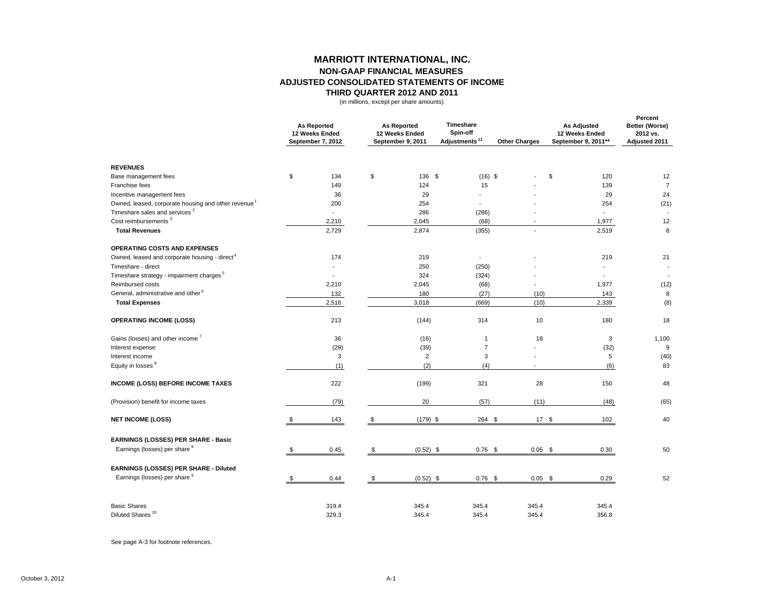### **MARRIOTT INTERNATIONAL, INC. NON-GAAP FINANCIAL MEASURES ADJUSTED CONSOLIDATED STATEMENTS OF INCOME THIRD QUARTER 2012 AND 2011**

(in millions, except per share amounts)

|                                                                 | <b>As Reported</b><br>12 Weeks Ended<br>September 7, 2012 |                | <b>As Reported</b><br>12 Weeks Ended<br>September 9, 2011 | <b>Timeshare</b><br>Spin-off<br>Adjustments <sup>11</sup> | <b>Other Charges</b> | <b>As Adjusted</b><br>12 Weeks Ended<br>September 9, 2011** | Percent<br>Better (Worse)<br>2012 vs.<br>Adjusted 2011 |
|-----------------------------------------------------------------|-----------------------------------------------------------|----------------|-----------------------------------------------------------|-----------------------------------------------------------|----------------------|-------------------------------------------------------------|--------------------------------------------------------|
| <b>REVENUES</b>                                                 |                                                           |                |                                                           |                                                           |                      |                                                             |                                                        |
| Base management fees                                            | \$<br>134                                                 | $$\mathbb{S}$$ | 136 \$                                                    | $(16)$ \$                                                 |                      | \$<br>120                                                   | 12                                                     |
| Franchise fees                                                  | 149                                                       |                | 124                                                       | 15                                                        |                      | 139                                                         | $\overline{7}$                                         |
| Incentive management fees                                       | 36                                                        |                | 29                                                        | $\overline{\phantom{a}}$                                  |                      | 29                                                          | 24                                                     |
| Owned, leased, corporate housing and other revenue <sup>1</sup> | 200                                                       |                | 254                                                       |                                                           |                      | 254                                                         | (21)                                                   |
| Timeshare sales and services <sup>2</sup>                       | $\overline{a}$                                            |                | 286                                                       | (286)                                                     |                      |                                                             |                                                        |
| Cost reimbursements <sup>3</sup>                                | 2,210                                                     |                | 2,045                                                     | (68)                                                      |                      | 1,977                                                       | 12                                                     |
| <b>Total Revenues</b>                                           | 2,729                                                     |                | 2,874                                                     | (355)                                                     |                      | 2,519                                                       | 8                                                      |
| <b>OPERATING COSTS AND EXPENSES</b>                             |                                                           |                |                                                           |                                                           |                      |                                                             |                                                        |
| Owned, leased and corporate housing - direct <sup>4</sup>       | 174                                                       |                | 219                                                       | $\overline{a}$                                            |                      | 219                                                         | 21                                                     |
| Timeshare - direct                                              |                                                           |                | 250                                                       | (250)                                                     |                      |                                                             |                                                        |
| Timeshare strategy - impairment charges <sup>5</sup>            | $\overline{a}$                                            |                | 324                                                       | (324)                                                     |                      | $\blacksquare$                                              | $\overline{a}$                                         |
| Reimbursed costs                                                | 2,210                                                     |                | 2,045                                                     | (68)                                                      |                      | 1,977                                                       | (12)                                                   |
| General, administrative and other <sup>6</sup>                  | 132                                                       |                | 180                                                       | (27)                                                      | (10)                 | 143                                                         | 8                                                      |
| <b>Total Expenses</b>                                           | 2,516                                                     |                | 3,018                                                     | (669)                                                     | (10)                 | 2,339                                                       | (8)                                                    |
| <b>OPERATING INCOME (LOSS)</b>                                  | 213                                                       |                | (144)                                                     | 314                                                       | 10                   | 180                                                         | 18                                                     |
| Gains (losses) and other income <sup>7</sup>                    | 36                                                        |                | (16)                                                      | $\mathbf{1}$                                              | 18                   | 3                                                           | 1,100                                                  |
| Interest expense                                                | (29)                                                      |                | (39)                                                      | $\overline{7}$                                            |                      | (32)                                                        | 9                                                      |
| Interest income                                                 | 3                                                         |                | $\overline{2}$                                            | 3                                                         |                      | 5                                                           | (40)                                                   |
| Equity in losses <sup>8</sup>                                   | (1)                                                       |                | (2)                                                       | (4)                                                       |                      | (6)                                                         | 83                                                     |
| <b>INCOME (LOSS) BEFORE INCOME TAXES</b>                        | 222                                                       |                | (199)                                                     | 321                                                       | 28                   | 150                                                         | 48                                                     |
| (Provision) benefit for income taxes                            | (79)                                                      |                | 20                                                        | (57)                                                      | (11)                 | (48)                                                        | (65)                                                   |
| <b>NET INCOME (LOSS)</b>                                        | 143                                                       | \$             | $(179)$ \$                                                | 264 \$                                                    | 17S                  | 102                                                         | 40                                                     |
| EARNINGS (LOSSES) PER SHARE - Basic                             |                                                           |                |                                                           |                                                           |                      |                                                             |                                                        |
| Earnings (losses) per share 9                                   | \$<br>0.45                                                | \$             | $(0.52)$ \$                                               | $0.76$ \$                                                 | $0.05$ \$            | 0.30                                                        | 50                                                     |
| EARNINGS (LOSSES) PER SHARE - Diluted                           |                                                           |                |                                                           |                                                           |                      |                                                             |                                                        |
| Earnings (losses) per share 9                                   | \$<br>0.44                                                | \$             | $(0.52)$ \$                                               | $0.76$ \$                                                 | $0.05$ \$            | 0.29                                                        | 52                                                     |
| <b>Basic Shares</b>                                             | 319.4                                                     |                | 345.4                                                     | 345.4                                                     | 345.4                | 345.4                                                       |                                                        |
| Diluted Shares <sup>10</sup>                                    | 329.3                                                     |                | 345.4                                                     | 345.4                                                     | 345.4                | 356.8                                                       |                                                        |

See page A-3 for footnote references.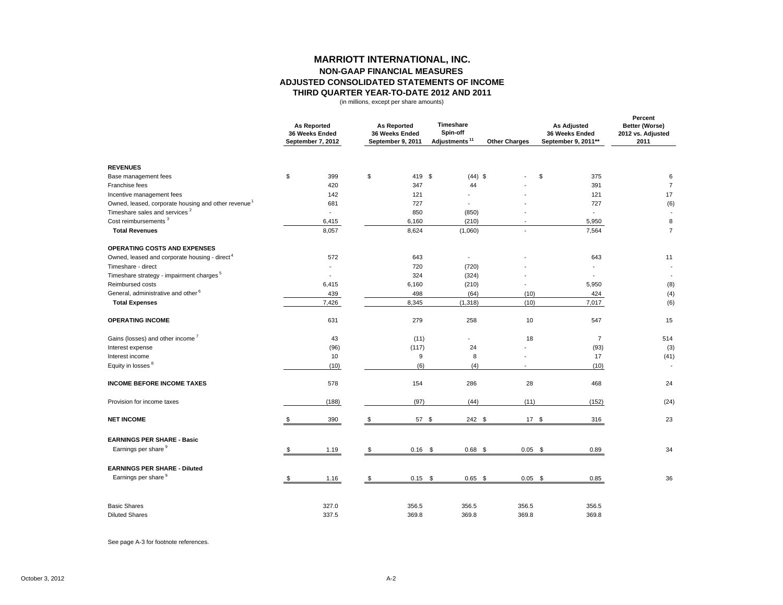#### **MARRIOTT INTERNATIONAL, INC. NON-GAAP FINANCIAL MEASURES ADJUSTED CONSOLIDATED STATEMENTS OF INCOME THIRD QUARTER YEAR-TO-DATE 2012 AND 2011**

(in millions, except per share amounts)

|                                                                 |    |                | <b>As Reported</b><br><b>As Reported</b><br>36 Weeks Ended<br>36 Weeks Ended<br>September 7, 2012<br>September 9, 2011 |           | Timeshare<br>Spin-off<br>Adjustments <sup>11</sup> |           | <b>Other Charges</b>     | <b>As Adjusted</b><br>36 Weeks Ended<br>September 9, 2011** | Percent<br>Better (Worse)<br>2012 vs. Adjusted<br>2011 |
|-----------------------------------------------------------------|----|----------------|------------------------------------------------------------------------------------------------------------------------|-----------|----------------------------------------------------|-----------|--------------------------|-------------------------------------------------------------|--------------------------------------------------------|
| <b>REVENUES</b>                                                 |    |                |                                                                                                                        |           |                                                    |           |                          |                                                             |                                                        |
| Base management fees                                            | \$ | 399            | \$                                                                                                                     | 419 \$    |                                                    | $(44)$ \$ |                          | \$<br>375                                                   | 6                                                      |
| Franchise fees                                                  |    | 420            |                                                                                                                        | 347       | 44                                                 |           |                          | 391                                                         | $\overline{7}$                                         |
| Incentive management fees                                       |    | 142            |                                                                                                                        | 121       |                                                    |           |                          | 121                                                         | 17                                                     |
| Owned, leased, corporate housing and other revenue <sup>1</sup> |    | 681            |                                                                                                                        | 727       |                                                    |           |                          | 727                                                         | (6)                                                    |
| Timeshare sales and services <sup>2</sup>                       |    | $\overline{a}$ |                                                                                                                        | 850       | (850)                                              |           |                          | $\overline{a}$                                              |                                                        |
| Cost reimbursements <sup>3</sup>                                |    | 6,415          |                                                                                                                        | 6,160     | (210)                                              |           | $\overline{\phantom{a}}$ | 5,950                                                       | 8                                                      |
| <b>Total Revenues</b>                                           |    | 8,057          |                                                                                                                        | 8,624     | (1,060)                                            |           |                          | 7,564                                                       | $\overline{7}$                                         |
| OPERATING COSTS AND EXPENSES                                    |    |                |                                                                                                                        |           |                                                    |           |                          |                                                             |                                                        |
| Owned, leased and corporate housing - direct <sup>4</sup>       |    | 572            |                                                                                                                        | 643       | $\sim$                                             |           |                          | 643                                                         | 11                                                     |
| Timeshare - direct                                              |    |                |                                                                                                                        | 720       | (720)                                              |           |                          | ٠                                                           | $\overline{\phantom{a}}$                               |
| Timeshare strategy - impairment charges <sup>5</sup>            |    | $\blacksquare$ |                                                                                                                        | 324       | (324)                                              |           |                          | $\overline{\phantom{a}}$                                    | $\overline{\phantom{a}}$                               |
| Reimbursed costs                                                |    | 6,415          |                                                                                                                        | 6,160     | (210)                                              |           |                          | 5,950                                                       | (8)                                                    |
| General, administrative and other <sup>6</sup>                  |    | 439            |                                                                                                                        | 498       | (64)                                               |           | (10)                     | 424                                                         | (4)                                                    |
| <b>Total Expenses</b>                                           |    | 7,426          |                                                                                                                        | 8,345     | (1, 318)                                           |           | (10)                     | 7,017                                                       | (6)                                                    |
| <b>OPERATING INCOME</b>                                         |    | 631            |                                                                                                                        | 279       | 258                                                |           | 10                       | 547                                                         | 15                                                     |
| Gains (losses) and other income <sup>7</sup>                    |    | 43             |                                                                                                                        | (11)      |                                                    |           | 18                       | $\overline{7}$                                              | 514                                                    |
| Interest expense                                                |    | (96)           |                                                                                                                        | (117)     | 24                                                 |           |                          | (93)                                                        | (3)                                                    |
| Interest income                                                 |    | 10             |                                                                                                                        | 9         | 8                                                  |           |                          | 17                                                          | (41)                                                   |
| Equity in losses <sup>8</sup>                                   |    | (10)           |                                                                                                                        | (6)       | (4)                                                |           |                          | (10)                                                        | $\overline{\phantom{a}}$                               |
| <b>INCOME BEFORE INCOME TAXES</b>                               |    | 578            |                                                                                                                        | 154       | 286                                                |           | 28                       | 468                                                         | 24                                                     |
| Provision for income taxes                                      |    | (188)          |                                                                                                                        | (97)      | (44)                                               |           | (11)                     | (152)                                                       | (24)                                                   |
| <b>NET INCOME</b>                                               | \$ | 390            | \$                                                                                                                     | 57 \$     |                                                    | 242 \$    | 17S                      | 316                                                         | 23                                                     |
| <b>EARNINGS PER SHARE - Basic</b>                               |    |                |                                                                                                                        |           |                                                    |           |                          |                                                             |                                                        |
| Earnings per share 9                                            |    | 1.19           | \$                                                                                                                     | $0.16$ \$ | $0.68$ \$                                          |           | $0.05$ \$                | 0.89                                                        | 34                                                     |
| <b>EARNINGS PER SHARE - Diluted</b>                             |    |                |                                                                                                                        |           |                                                    |           |                          |                                                             |                                                        |
| Earnings per share <sup>9</sup>                                 | -S | 1.16           | \$                                                                                                                     | $0.15$ \$ |                                                    | $0.65$ \$ | $0.05$ \$                | 0.85                                                        | 36                                                     |
| <b>Basic Shares</b>                                             |    | 327.0          |                                                                                                                        | 356.5     | 356.5                                              |           | 356.5                    | 356.5                                                       |                                                        |
| <b>Diluted Shares</b>                                           |    | 337.5          |                                                                                                                        | 369.8     | 369.8                                              |           | 369.8                    | 369.8                                                       |                                                        |

See page A-3 for footnote references.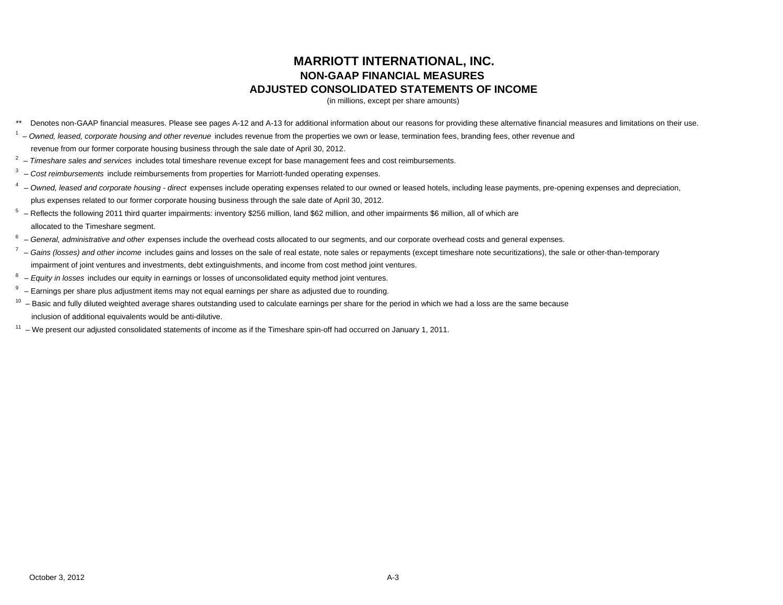# **MARRIOTT INTERNATIONAL, INC. NON-GAAP FINANCIAL MEASURES ADJUSTED CONSOLIDATED STATEMENTS OF INCOME**

(in millions, except per share amounts)

- \*\* Denotes non-GAAP financial measures. Please see pages A-12 and A-13 for additional information about our reasons for providing these alternative financial measures and limitations on their use.
- <sup>1</sup> Owned, leased, corporate housing and other revenue includes revenue from the properties we own or lease, termination fees, branding fees, other revenue and
- revenue from our former corporate housing business through the sale date of April 30, 2012.
- 2 – *Timeshare sales and services* includes total timeshare revenue except for base management fees and cost reimbursements.
- 3 *Cost reimbursements* include reimbursements from properties for Marriott-funded operating expenses.
- <sup>4</sup> Owned, leased and corporate housing direct expenses include operating expenses related to our owned or leased hotels, including lease payments, pre-opening expenses and depreciation, plus expenses related to our former corporate housing business through the sale date of April 30, 2012.
- $5$  Reflects the following 2011 third quarter impairments: inventory \$256 million, land \$62 million, and other impairments \$6 million, all of which are allocated to the Timeshare segment.
- <sup>6</sup> General, administrative and other expenses include the overhead costs allocated to our segments, and our corporate overhead costs and general expenses.
- <sup>7</sup> Gains (losses) and other income includes gains and losses on the sale of real estate, note sales or repayments (except timeshare note securitizations), the sale or other-than-temporary impairment of joint ventures and investments, debt extinguishments, and income from cost method joint ventures.
- 8 *Equity in losses* includes our equity in earnings or losses of unconsolidated equity method joint ventures.
- $9 -$  Earnings per share plus adjustment items may not equal earnings per share as adjusted due to rounding.
- $10$  Basic and fully diluted weighted average shares outstanding used to calculate earnings per share for the period in which we had a loss are the same because inclusion of additional equivalents would be anti-dilutive.
- $11 -$  We present our adjusted consolidated statements of income as if the Timeshare spin-off had occurred on January 1, 2011.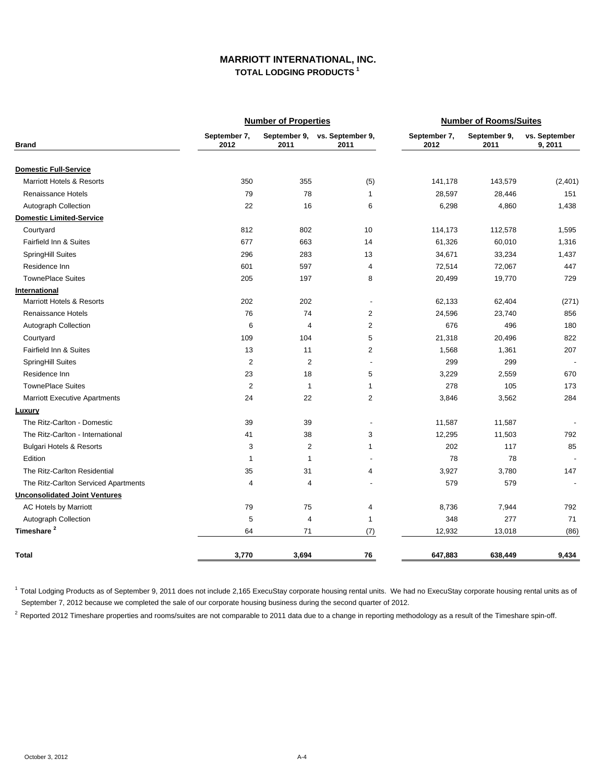## **MARRIOTT INTERNATIONAL, INC. TOTAL LODGING PRODUCTS 1**

|                                      |                      | <b>Number of Properties</b> |                                       | <b>Number of Rooms/Suites</b> |                      |                          |  |
|--------------------------------------|----------------------|-----------------------------|---------------------------------------|-------------------------------|----------------------|--------------------------|--|
| <b>Brand</b>                         | September 7,<br>2012 | 2011                        | September 9, vs. September 9,<br>2011 | September 7,<br>2012          | September 9,<br>2011 | vs. September<br>9, 2011 |  |
| <b>Domestic Full-Service</b>         |                      |                             |                                       |                               |                      |                          |  |
| <b>Marriott Hotels &amp; Resorts</b> | 350                  | 355                         | (5)                                   | 141,178                       | 143,579              | (2,401)                  |  |
| Renaissance Hotels                   | 79                   | 78                          | $\mathbf{1}$                          | 28,597                        | 28,446               | 151                      |  |
| Autograph Collection                 | 22                   | 16                          | 6                                     | 6,298                         | 4,860                | 1,438                    |  |
| <b>Domestic Limited-Service</b>      |                      |                             |                                       |                               |                      |                          |  |
| Courtyard                            | 812                  | 802                         | 10                                    | 114,173                       | 112,578              | 1,595                    |  |
| Fairfield Inn & Suites               | 677                  | 663                         | 14                                    | 61,326                        | 60,010               | 1,316                    |  |
| <b>SpringHill Suites</b>             | 296                  | 283                         | 13                                    | 34,671                        | 33,234               | 1,437                    |  |
| Residence Inn                        | 601                  | 597                         | 4                                     | 72,514                        | 72,067               | 447                      |  |
| <b>TownePlace Suites</b>             | 205                  | 197                         | 8                                     | 20,499                        | 19,770               | 729                      |  |
| International                        |                      |                             |                                       |                               |                      |                          |  |
| <b>Marriott Hotels &amp; Resorts</b> | 202                  | 202                         | $\overline{\phantom{a}}$              | 62,133                        | 62,404               | (271)                    |  |
| Renaissance Hotels                   | 76                   | 74                          | 2                                     | 24,596                        | 23,740               | 856                      |  |
| Autograph Collection                 | 6                    | $\overline{4}$              | $\overline{2}$                        | 676                           | 496                  | 180                      |  |
| Courtyard                            | 109                  | 104                         | 5                                     | 21,318                        | 20,496               | 822                      |  |
| Fairfield Inn & Suites               | 13                   | 11                          | 2                                     | 1,568                         | 1,361                | 207                      |  |
| SpringHill Suites                    | $\overline{2}$       | $\overline{2}$              | $\overline{a}$                        | 299                           | 299                  |                          |  |
| Residence Inn                        | 23                   | 18                          | 5                                     | 3,229                         | 2,559                | 670                      |  |
| <b>TownePlace Suites</b>             | $\overline{2}$       | $\mathbf{1}$                | 1                                     | 278                           | 105                  | 173                      |  |
| <b>Marriott Executive Apartments</b> | 24                   | 22                          | 2                                     | 3,846                         | 3,562                | 284                      |  |
| Luxury                               |                      |                             |                                       |                               |                      |                          |  |
| The Ritz-Carlton - Domestic          | 39                   | 39                          | $\overline{\phantom{a}}$              | 11,587                        | 11,587               |                          |  |
| The Ritz-Carlton - International     | 41                   | 38                          | 3                                     | 12,295                        | 11,503               | 792                      |  |
| <b>Bulgari Hotels &amp; Resorts</b>  | 3                    | $\overline{2}$              | 1                                     | 202                           | 117                  | 85                       |  |
| Edition                              | $\mathbf{1}$         | 1                           | $\blacksquare$                        | 78                            | 78                   |                          |  |
| The Ritz-Carlton Residential         | 35                   | 31                          | 4                                     | 3,927                         | 3,780                | 147                      |  |
| The Ritz-Carlton Serviced Apartments | $\overline{4}$       | 4                           | $\overline{\phantom{a}}$              | 579                           | 579                  |                          |  |
| <b>Unconsolidated Joint Ventures</b> |                      |                             |                                       |                               |                      |                          |  |
| AC Hotels by Marriott                | 79                   | 75                          | 4                                     | 8,736                         | 7,944                | 792                      |  |
| <b>Autograph Collection</b>          | 5                    | 4                           | $\mathbf{1}$                          | 348                           | 277                  | 71                       |  |
| Timeshare <sup>2</sup>               | 64                   | 71                          | (7)                                   | 12,932                        | 13,018               | (86)                     |  |
| Total                                | 3,770                | 3,694                       | 76                                    | 647,883                       | 638,449              | 9,434                    |  |

<sup>1</sup> Total Lodging Products as of September 9, 2011 does not include 2,165 ExecuStay corporate housing rental onits. We had no ExecuStay corporate housing rental units as of September 7, 2012 because we completed the sale of our corporate housing business during the second quarter of 2012.

<sup>2</sup> Reported 2012 Timeshare properties and rooms/suites are not comparable to 2011 data due to a change in reporting methodology as a result of the Timeshare spin-off.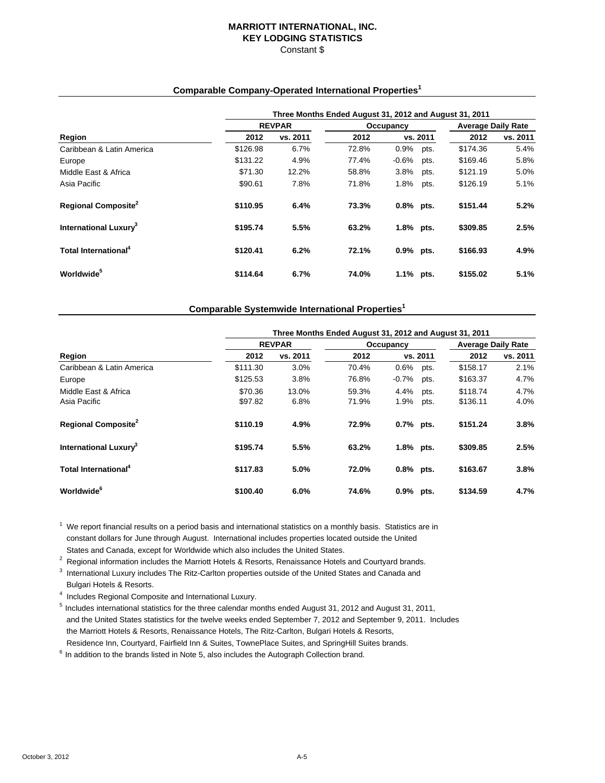# **MARRIOTT INTERNATIONAL, INC. KEY LODGING STATISTICS**

#### Constant \$

### **Comparable Company-Operated International Properties1**

|                                        | Three Months Ended August 31, 2012 and August 31, 2011 |               |       |             |          |                           |          |  |  |  |
|----------------------------------------|--------------------------------------------------------|---------------|-------|-------------|----------|---------------------------|----------|--|--|--|
|                                        |                                                        | <b>REVPAR</b> |       | Occupancy   |          | <b>Average Daily Rate</b> |          |  |  |  |
| Region                                 | 2012                                                   | vs. 2011      | 2012  |             | vs. 2011 | 2012                      | vs. 2011 |  |  |  |
| Caribbean & Latin America              | \$126.98                                               | 6.7%          | 72.8% | 0.9%        | pts.     | \$174.36                  | 5.4%     |  |  |  |
| Europe                                 | \$131.22                                               | 4.9%          | 77.4% | $-0.6%$     | pts.     | \$169.46                  | 5.8%     |  |  |  |
| Middle East & Africa                   | \$71.30                                                | 12.2%         | 58.8% | 3.8%        | pts.     | \$121.19                  | 5.0%     |  |  |  |
| Asia Pacific                           | \$90.61                                                | 7.8%          | 71.8% | 1.8%        | pts.     | \$126.19                  | 5.1%     |  |  |  |
| <b>Regional Composite</b> <sup>2</sup> | \$110.95                                               | 6.4%          | 73.3% | $0.8%$ pts. |          | \$151.44                  | 5.2%     |  |  |  |
| International Luxury <sup>3</sup>      | \$195.74                                               | 5.5%          | 63.2% | 1.8% pts.   |          | \$309.85                  | 2.5%     |  |  |  |
| Total International <sup>4</sup>       | \$120.41                                               | 6.2%          | 72.1% | 0.9% pts.   |          | \$166.93                  | 4.9%     |  |  |  |
| Worldwide <sup>5</sup>                 | \$114.64                                               | 6.7%          | 74.0% | 1.1%        | pts.     | \$155.02                  | 5.1%     |  |  |  |

#### **Comparable Systemwide International Properties1**

|                                      | Three Months Ended August 31, 2012 and August 31, 2011 |               |                |              |              |                           |              |  |  |  |
|--------------------------------------|--------------------------------------------------------|---------------|----------------|--------------|--------------|---------------------------|--------------|--|--|--|
|                                      |                                                        | <b>REVPAR</b> |                | Occupancy    |              | <b>Average Daily Rate</b> |              |  |  |  |
| Region                               | 2012                                                   | vs. 2011      | 2012           |              | vs. 2011     | 2012                      | vs. 2011     |  |  |  |
| Caribbean & Latin America            | \$111.30                                               | 3.0%          | 70.4%          | 0.6%         | pts.         | \$158.17                  | 2.1%         |  |  |  |
| Europe                               | \$125.53                                               | 3.8%          | 76.8%          | $-0.7%$      | pts.         | \$163.37                  | 4.7%         |  |  |  |
| Middle East & Africa<br>Asia Pacific | \$70.36<br>\$97.82                                     | 13.0%<br>6.8% | 59.3%<br>71.9% | 4.4%<br>1.9% | pts.<br>pts. | \$118.74<br>\$136.11      | 4.7%<br>4.0% |  |  |  |
| Regional Composite <sup>2</sup>      | \$110.19                                               | 4.9%          | 72.9%          | $0.7%$ pts.  |              | \$151.24                  | 3.8%         |  |  |  |
| International Luxury <sup>3</sup>    | \$195.74                                               | 5.5%          | 63.2%          | 1.8% pts.    |              | \$309.85                  | 2.5%         |  |  |  |
| Total International <sup>4</sup>     | \$117.83                                               | 5.0%          | 72.0%          | $0.8%$ pts.  |              | \$163.67                  | 3.8%         |  |  |  |
| <b>Worldwide</b> <sup>6</sup>        | \$100.40                                               | 6.0%          | 74.6%          | $0.9%$ pts.  |              | \$134.59                  | 4.7%         |  |  |  |

 $1$  We report financial results on a period basis and international statistics on a monthly basis. Statistics are in constant dollars for June through August. International includes properties located outside the United States and Canada, except for Worldwide which also includes the United States.

<sup>2</sup> Regional information includes the Marriott Hotels & Resorts, Renaissance Hotels and Courtyard brands.<br><sup>3</sup> International Luxury includes The Bitz Certter preparties outpide of the United States and Canada and

 $3$  International Luxury includes The Ritz-Carlton properties outside of the United States and Canada and Bulgari Hotels & Resorts.

<sup>4</sup> Includes Regional Composite and International Luxury.

5 Includes international statistics for the three calendar months ended August 31, 2012 and August 31, 2011, and the United States statistics for the twelve weeks ended September 7, 2012 and September 9, 2011. Includes the Marriott Hotels & Resorts, Renaissance Hotels, The Ritz-Carlton, Bulgari Hotels & Resorts, Residence Inn, Courtyard, Fairfield Inn & Suites, TownePlace Suites, and SpringHill Suites brands.

 $6$  In addition to the brands listed in Note 5, also includes the Autograph Collection brand.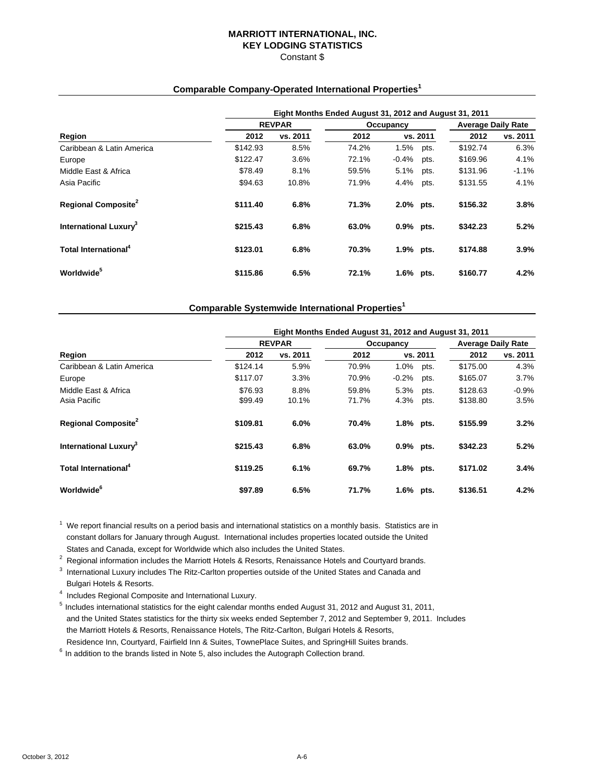#### **MARRIOTT INTERNATIONAL, INC. KEY LODGING STATISTICS** Constant \$

#### **Comparable Company-Operated International Properties1**

|                                        | Eight Months Ended August 31, 2012 and August 31, 2011 |               |       |             |          |                           |          |  |  |  |
|----------------------------------------|--------------------------------------------------------|---------------|-------|-------------|----------|---------------------------|----------|--|--|--|
|                                        |                                                        | <b>REVPAR</b> |       | Occupancy   |          | <b>Average Daily Rate</b> |          |  |  |  |
| Region                                 | 2012                                                   | vs. 2011      | 2012  |             | vs. 2011 | 2012                      | vs. 2011 |  |  |  |
| Caribbean & Latin America              | \$142.93                                               | 8.5%          | 74.2% | 1.5%        | pts.     | \$192.74                  | 6.3%     |  |  |  |
| Europe                                 | \$122.47                                               | $3.6\%$       | 72.1% | $-0.4%$     | pts.     | \$169.96                  | 4.1%     |  |  |  |
| Middle East & Africa                   | \$78.49                                                | 8.1%          | 59.5% | 5.1%        | pts.     | \$131.96                  | $-1.1%$  |  |  |  |
| Asia Pacific                           | \$94.63                                                | 10.8%         | 71.9% | 4.4%        | pts.     | \$131.55                  | 4.1%     |  |  |  |
| <b>Regional Composite</b> <sup>2</sup> | \$111.40                                               | 6.8%          | 71.3% | 2.0% pts.   |          | \$156.32                  | 3.8%     |  |  |  |
| International Luxurv <sup>3</sup>      | \$215.43                                               | 6.8%          | 63.0% | $0.9%$ pts. |          | \$342.23                  | 5.2%     |  |  |  |
| Total International <sup>4</sup>       | \$123.01                                               | 6.8%          | 70.3% | 1.9% pts.   |          | \$174.88                  | 3.9%     |  |  |  |
| Worldwide <sup>5</sup>                 | \$115.86                                               | 6.5%          | 72.1% | 1.6% pts.   |          | \$160.77                  | 4.2%     |  |  |  |

#### **Comparable Systemwide International Properties1**

|                                      |                    | Eight Months Ended August 31, 2012 and August 31, 2011 |                |              |              |                      |                           |  |  |  |  |
|--------------------------------------|--------------------|--------------------------------------------------------|----------------|--------------|--------------|----------------------|---------------------------|--|--|--|--|
|                                      |                    | <b>REVPAR</b>                                          |                | Occupancy    |              |                      | <b>Average Daily Rate</b> |  |  |  |  |
| Region                               | 2012               | vs. 2011                                               | 2012           |              | vs. 2011     | 2012                 | vs. 2011                  |  |  |  |  |
| Caribbean & Latin America            | \$124.14           | 5.9%                                                   | 70.9%          | 1.0%         | pts.         | \$175.00             | 4.3%                      |  |  |  |  |
| Europe                               | \$117.07           | 3.3%                                                   | 70.9%          | $-0.2%$      | pts.         | \$165.07             | 3.7%                      |  |  |  |  |
| Middle East & Africa<br>Asia Pacific | \$76.93<br>\$99.49 | 8.8%<br>10.1%                                          | 59.8%<br>71.7% | 5.3%<br>4.3% | pts.<br>pts. | \$128.63<br>\$138.80 | $-0.9%$<br>3.5%           |  |  |  |  |
| Regional Composite <sup>2</sup>      | \$109.81           | 6.0%                                                   | 70.4%          | 1.8% pts.    |              | \$155.99             | 3.2%                      |  |  |  |  |
| International Luxury <sup>3</sup>    | \$215.43           | 6.8%                                                   | 63.0%          | 0.9% pts.    |              | \$342.23             | 5.2%                      |  |  |  |  |
| Total International <sup>4</sup>     | \$119.25           | 6.1%                                                   | 69.7%          | 1.8% pts.    |              | \$171.02             | 3.4%                      |  |  |  |  |
| <b>Worldwide</b> <sup>6</sup>        | \$97.89            | 6.5%                                                   | 71.7%          | 1.6% pts.    |              | \$136.51             | 4.2%                      |  |  |  |  |

 $1$  We report financial results on a period basis and international statistics on a monthly basis. Statistics are in constant dollars for January through August. International includes properties located outside the United States and Canada, except for Worldwide which also includes the United States.

<sup>2</sup> Regional information includes the Marriott Hotels & Resorts, Renaissance Hotels and Courtyard brands.<br><sup>3</sup> International Luxury includes The Bitz Certter preparties outpide of the United States and Canada and

 $3$  International Luxury includes The Ritz-Carlton properties outside of the United States and Canada and Bulgari Hotels & Resorts.

<sup>4</sup> Includes Regional Composite and International Luxury.

5 Includes international statistics for the eight calendar months ended August 31, 2012 and August 31, 2011, and the United States statistics for the thirty six weeks ended September 7, 2012 and September 9, 2011. Includes the Marriott Hotels & Resorts, Renaissance Hotels, The Ritz-Carlton, Bulgari Hotels & Resorts, Residence Inn, Courtyard, Fairfield Inn & Suites, TownePlace Suites, and SpringHill Suites brands.

 $6$  In addition to the brands listed in Note 5, also includes the Autograph Collection brand.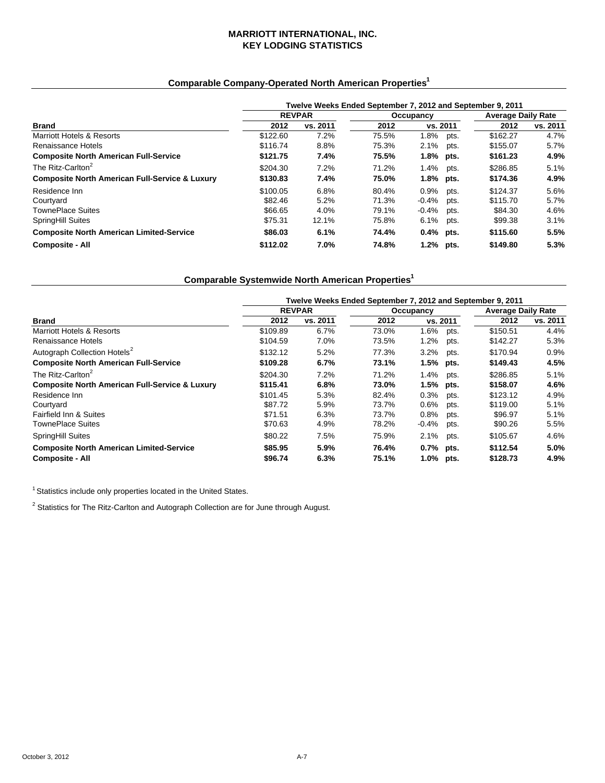## **MARRIOTT INTERNATIONAL, INC. KEY LODGING STATISTICS**

### **Comparable Company-Operated North American Properties1**

|                                                           | Twelve Weeks Ended September 7, 2012 and September 9, 2011 |               |           |             |      |                           |          |  |  |
|-----------------------------------------------------------|------------------------------------------------------------|---------------|-----------|-------------|------|---------------------------|----------|--|--|
|                                                           |                                                            | <b>REVPAR</b> | Occupancy |             |      | <b>Average Daily Rate</b> |          |  |  |
| Brand                                                     | 2012                                                       | vs. 2011      | 2012      | vs. 2011    |      | 2012                      | vs. 2011 |  |  |
| Marriott Hotels & Resorts                                 | \$122.60                                                   | 7.2%          | 75.5%     | 1.8%        | pts. | \$162.27                  | 4.7%     |  |  |
| Renaissance Hotels                                        | \$116.74                                                   | 8.8%          | 75.3%     | 2.1%        | pts. | \$155.07                  | 5.7%     |  |  |
| <b>Composite North American Full-Service</b>              | \$121.75                                                   | 7.4%          | 75.5%     | $1.8\%$     | pts. | \$161.23                  | 4.9%     |  |  |
| The Ritz-Carlton <sup>2</sup>                             | \$204.30                                                   | 7.2%          | 71.2%     | 1.4%        | pts. | \$286.85                  | 5.1%     |  |  |
| <b>Composite North American Full-Service &amp; Luxury</b> | \$130.83                                                   | 7.4%          | 75.0%     | 1.8% pts.   |      | \$174.36                  | 4.9%     |  |  |
| Residence Inn                                             | \$100.05                                                   | 6.8%          | 80.4%     | 0.9%        | pts. | \$124.37                  | 5.6%     |  |  |
| Courtyard                                                 | \$82.46                                                    | 5.2%          | 71.3%     | $-0.4%$     | pts. | \$115.70                  | 5.7%     |  |  |
| <b>TownePlace Suites</b>                                  | \$66.65                                                    | 4.0%          | 79.1%     | $-0.4%$     | pts. | \$84.30                   | 4.6%     |  |  |
| SpringHill Suites                                         | \$75.31                                                    | 12.1%         | 75.8%     | 6.1%        | pts. | \$99.38                   | 3.1%     |  |  |
| <b>Composite North American Limited-Service</b>           | \$86.03                                                    | 6.1%          | 74.4%     | $0.4%$ pts. |      | \$115.60                  | 5.5%     |  |  |
| <b>Composite - All</b>                                    | \$112.02                                                   | 7.0%          | 74.8%     | 1.2% pts.   |      | \$149.80                  | 5.3%     |  |  |

# **Comparable Systemwide North American Properties1**

|                                                           | Twelve Weeks Ended September 7, 2012 and September 9, 2011 |               |       |           |      |                           |          |  |  |
|-----------------------------------------------------------|------------------------------------------------------------|---------------|-------|-----------|------|---------------------------|----------|--|--|
|                                                           |                                                            | <b>REVPAR</b> |       | Occupancy |      | <b>Average Daily Rate</b> |          |  |  |
| Brand                                                     | 2012                                                       | vs. 2011      | 2012  | vs. 2011  |      | 2012                      | vs. 2011 |  |  |
| <b>Marriott Hotels &amp; Resorts</b>                      | \$109.89                                                   | 6.7%          | 73.0% | 1.6%      | pts. | \$150.51                  | 4.4%     |  |  |
| Renaissance Hotels                                        | \$104.59                                                   | 7.0%          | 73.5% | 1.2%      | pts. | \$142.27                  | 5.3%     |  |  |
| Autograph Collection Hotels <sup>2</sup>                  | \$132.12                                                   | 5.2%          | 77.3% | 3.2%      | pts. | \$170.94                  | 0.9%     |  |  |
| <b>Composite North American Full-Service</b>              | \$109.28                                                   | 6.7%          | 73.1% | 1.5%      | pts. | \$149.43                  | 4.5%     |  |  |
| The Ritz-Carlton <sup>2</sup>                             | \$204.30                                                   | 7.2%          | 71.2% | 1.4%      | pts. | \$286.85                  | 5.1%     |  |  |
| <b>Composite North American Full-Service &amp; Luxury</b> | \$115.41                                                   | 6.8%          | 73.0% | 1.5%      | pts. | \$158.07                  | 4.6%     |  |  |
| Residence Inn                                             | \$101.45                                                   | 5.3%          | 82.4% | 0.3%      | pts. | \$123.12                  | 4.9%     |  |  |
| Courtyard                                                 | \$87.72                                                    | 5.9%          | 73.7% | 0.6%      | pts. | \$119.00                  | 5.1%     |  |  |
| Fairfield Inn & Suites                                    | \$71.51                                                    | 6.3%          | 73.7% | 0.8%      | pts. | \$96.97                   | 5.1%     |  |  |
| TownePlace Suites                                         | \$70.63                                                    | 4.9%          | 78.2% | $-0.4%$   | pts. | \$90.26                   | 5.5%     |  |  |
| SpringHill Suites                                         | \$80.22                                                    | 7.5%          | 75.9% | 2.1%      | pts. | \$105.67                  | 4.6%     |  |  |
| <b>Composite North American Limited-Service</b>           | \$85.95                                                    | 5.9%          | 76.4% | 0.7% pts. |      | \$112.54                  | 5.0%     |  |  |
| <b>Composite - All</b>                                    | \$96.74                                                    | 6.3%          | 75.1% | 1.0% pts. |      | \$128.73                  | 4.9%     |  |  |

 $^1$  Statistics include only properties located in the United States.

 $2$  Statistics for The Ritz-Carlton and Autograph Collection are for June through August.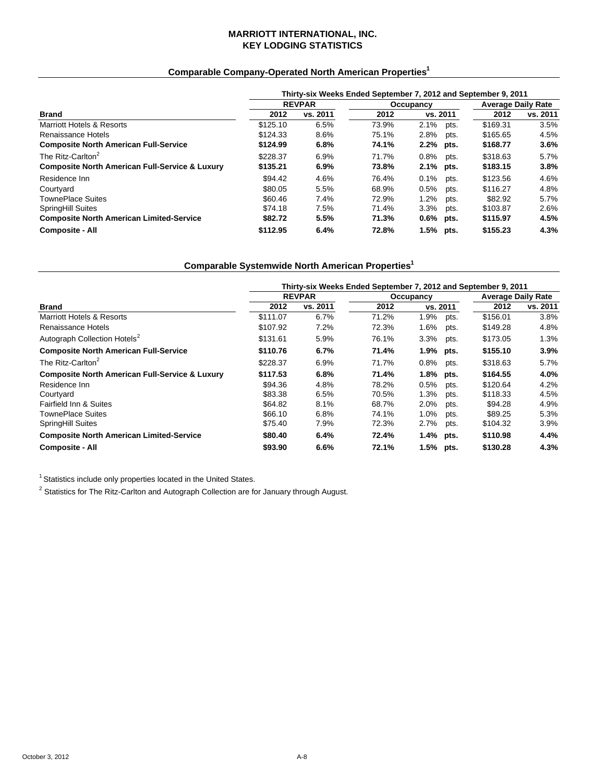### **MARRIOTT INTERNATIONAL, INC. KEY LODGING STATISTICS**

# **Comparable Company-Operated North American Properties1**

|                                                           | Thirty-six Weeks Ended September 7, 2012 and September 9, 2011 |               |       |                 |          |                           |  |  |  |
|-----------------------------------------------------------|----------------------------------------------------------------|---------------|-------|-----------------|----------|---------------------------|--|--|--|
|                                                           |                                                                | <b>REVPAR</b> |       | Occupancy       |          | <b>Average Daily Rate</b> |  |  |  |
| <b>Brand</b>                                              | 2012                                                           | vs. 2011      | 2012  | vs. 2011        | 2012     | vs. 2011                  |  |  |  |
| Marriott Hotels & Resorts                                 | \$125.10                                                       | 6.5%          | 73.9% | 2.1%<br>pts.    | \$169.31 | 3.5%                      |  |  |  |
| Renaissance Hotels                                        | \$124.33                                                       | 8.6%          | 75.1% | 2.8%<br>pts.    | \$165.65 | 4.5%                      |  |  |  |
| <b>Composite North American Full-Service</b>              | \$124.99                                                       | 6.8%          | 74.1% | 2.2% pts.       | \$168.77 | 3.6%                      |  |  |  |
| The Ritz-Carlton <sup>2</sup>                             | \$228.37                                                       | 6.9%          | 71.7% | $0.8\%$<br>pts. | \$318.63 | 5.7%                      |  |  |  |
| <b>Composite North American Full-Service &amp; Luxury</b> | \$135.21                                                       | 6.9%          | 73.8% | 2.1% pts.       | \$183.15 | 3.8%                      |  |  |  |
| Residence Inn                                             | \$94.42                                                        | 4.6%          | 76.4% | 0.1%<br>pts.    | \$123.56 | 4.6%                      |  |  |  |
| Courtvard                                                 | \$80.05                                                        | 5.5%          | 68.9% | 0.5%<br>pts.    | \$116.27 | 4.8%                      |  |  |  |
| <b>TownePlace Suites</b>                                  | \$60.46                                                        | 7.4%          | 72.9% | 1.2%<br>pts.    | \$82.92  | 5.7%                      |  |  |  |
| SpringHill Suites                                         | \$74.18                                                        | 7.5%          | 71.4% | 3.3%<br>pts.    | \$103.87 | 2.6%                      |  |  |  |
| <b>Composite North American Limited-Service</b>           | \$82.72                                                        | 5.5%          | 71.3% | $0.6%$ pts.     | \$115.97 | 4.5%                      |  |  |  |
| <b>Composite - All</b>                                    | \$112.95                                                       | 6.4%          | 72.8% | 1.5% pts.       | \$155.23 | 4.3%                      |  |  |  |

# **Comparable Systemwide North American Properties1**

|                                                           | Thirty-six Weeks Ended September 7, 2012 and September 9, 2011 |               |       |             |      |                           |          |  |  |
|-----------------------------------------------------------|----------------------------------------------------------------|---------------|-------|-------------|------|---------------------------|----------|--|--|
|                                                           |                                                                | <b>REVPAR</b> |       | Occupancy   |      | <b>Average Daily Rate</b> |          |  |  |
| <b>Brand</b>                                              | 2012                                                           | vs. 2011      | 2012  | vs. 2011    |      | 2012                      | vs. 2011 |  |  |
| Marriott Hotels & Resorts                                 | \$111.07                                                       | 6.7%          | 71.2% | 1.9%        | pts. | \$156.01                  | 3.8%     |  |  |
| Renaissance Hotels                                        | \$107.92                                                       | 7.2%          | 72.3% | 1.6%        | pts. | \$149.28                  | 4.8%     |  |  |
| Autograph Collection Hotels <sup>2</sup>                  | \$131.61                                                       | 5.9%          | 76.1% | 3.3%        | pts. | \$173.05                  | 1.3%     |  |  |
| <b>Composite North American Full-Service</b>              | \$110.76                                                       | 6.7%          | 71.4% | $1.9\%$     | pts. | \$155.10                  | 3.9%     |  |  |
| The Ritz-Carlton <sup>2</sup>                             | \$228.37                                                       | 6.9%          | 71.7% | 0.8%        | pts. | \$318.63                  | 5.7%     |  |  |
| <b>Composite North American Full-Service &amp; Luxury</b> | \$117.53                                                       | 6.8%          | 71.4% | 1.8%        | pts. | \$164.55                  | 4.0%     |  |  |
| Residence Inn                                             | \$94.36                                                        | 4.8%          | 78.2% | 0.5%        | pts. | \$120.64                  | 4.2%     |  |  |
| Courtyard                                                 | \$83.38                                                        | 6.5%          | 70.5% | 1.3%        | pts. | \$118.33                  | 4.5%     |  |  |
| Fairfield Inn & Suites                                    | \$64.82                                                        | 8.1%          | 68.7% | 2.0%        | pts. | \$94.28                   | 4.9%     |  |  |
| <b>TownePlace Suites</b>                                  | \$66.10                                                        | 6.8%          | 74.1% | 1.0%        | pts. | \$89.25                   | 5.3%     |  |  |
| SpringHill Suites                                         | \$75.40                                                        | 7.9%          | 72.3% | 2.7%        | pts. | \$104.32                  | 3.9%     |  |  |
| <b>Composite North American Limited-Service</b>           | \$80.40                                                        | 6.4%          | 72.4% | 1.4% pts.   |      | \$110.98                  | 4.4%     |  |  |
| <b>Composite - All</b>                                    | \$93.90                                                        | 6.6%          | 72.1% | $1.5%$ pts. |      | \$130.28                  | 4.3%     |  |  |

<sup>1</sup> Statistics include only properties located in the United States.

 $2$  Statistics for The Ritz-Carlton and Autograph Collection are for January through August.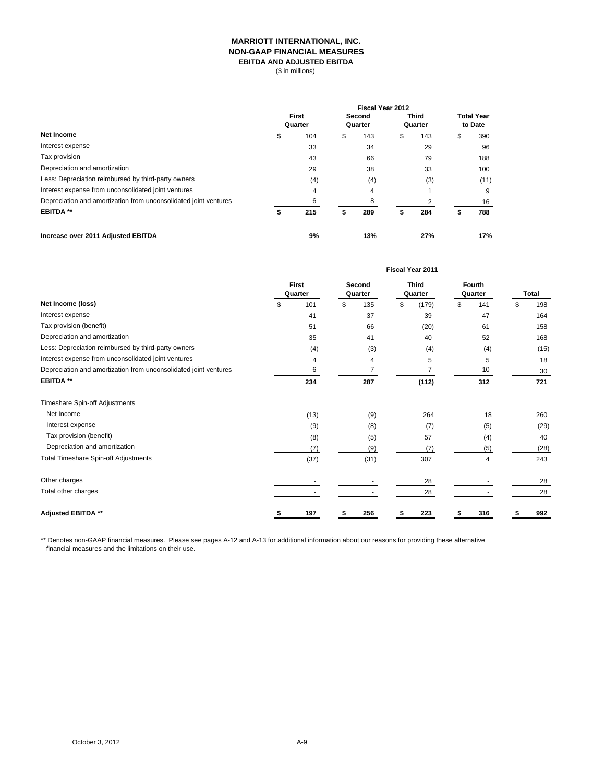#### **MARRIOTT INTERNATIONAL, INC. NON-GAAP FINANCIAL MEASURES EBITDA AND ADJUSTED EBITDA**

(\$ in millions)

|                                                                  |    | <b>Fiscal Year 2012</b> |                   |     |                         |           |                              |             |  |  |  |  |
|------------------------------------------------------------------|----|-------------------------|-------------------|-----|-------------------------|-----------|------------------------------|-------------|--|--|--|--|
| <b>Net Income</b>                                                |    | First<br>Quarter        | Second<br>Quarter |     | <b>Third</b><br>Quarter |           | <b>Total Year</b><br>to Date |             |  |  |  |  |
|                                                                  | \$ | 104                     | \$                | 143 | \$                      | 143       | ъ                            | 390         |  |  |  |  |
| Interest expense                                                 |    | 33                      |                   | 34  |                         | 29        |                              | 96          |  |  |  |  |
| Tax provision                                                    |    | 43                      |                   | 66  |                         | 79        |                              | 188         |  |  |  |  |
| Depreciation and amortization                                    |    | 29                      |                   | 38  |                         | 33<br>(3) |                              | 100<br>(11) |  |  |  |  |
| Less: Depreciation reimbursed by third-party owners              |    | (4)                     |                   | (4) |                         |           |                              |             |  |  |  |  |
| Interest expense from unconsolidated joint ventures              |    | 4                       |                   | 4   |                         |           |                              | 9           |  |  |  |  |
| Depreciation and amortization from unconsolidated joint ventures |    | 6                       |                   | 8   |                         | っ         |                              | 16          |  |  |  |  |
| <b>EBITDA**</b>                                                  |    | 215                     |                   | 289 |                         | 284       |                              | 788         |  |  |  |  |
| Increase over 2011 Adjusted EBITDA                               |    | 9%                      |                   | 13% |                         | 27%       |                              | 17%         |  |  |  |  |

|                                                                  | Fiscal Year 2011 |                         |    |                   |    |                         |    |                   |    |       |  |
|------------------------------------------------------------------|------------------|-------------------------|----|-------------------|----|-------------------------|----|-------------------|----|-------|--|
|                                                                  |                  | <b>First</b><br>Quarter |    | Second<br>Quarter |    | <b>Third</b><br>Quarter |    | Fourth<br>Quarter |    | Total |  |
| Net Income (loss)                                                | \$               | 101                     | \$ | 135               | \$ | (179)                   | \$ | 141               | \$ | 198   |  |
| Interest expense                                                 |                  | 41                      |    | 37                |    | 39                      |    | 47                |    | 164   |  |
| Tax provision (benefit)                                          |                  | 51                      |    | 66                |    | (20)                    |    | 61                |    | 158   |  |
| Depreciation and amortization                                    |                  | 35                      |    | 41                |    | 40                      |    | 52                |    | 168   |  |
| Less: Depreciation reimbursed by third-party owners              |                  | (4)                     |    | (3)               |    | (4)                     |    | (4)               |    | (15)  |  |
| Interest expense from unconsolidated joint ventures              |                  | 4                       |    | 4                 |    | 5                       |    | 5                 |    | 18    |  |
| Depreciation and amortization from unconsolidated joint ventures |                  | 6                       |    | 7                 |    |                         |    | 10                |    | 30    |  |
| <b>EBITDA **</b>                                                 |                  | 234                     |    | 287               |    | (112)                   |    | 312               |    | 721   |  |
| Timeshare Spin-off Adjustments                                   |                  |                         |    |                   |    |                         |    |                   |    |       |  |
| Net Income                                                       |                  | (13)                    |    | (9)               |    | 264                     |    | 18                |    | 260   |  |
| Interest expense                                                 |                  | (9)                     |    | (8)               |    | (7)                     |    | (5)               |    | (29)  |  |
| Tax provision (benefit)                                          |                  | (8)                     |    | (5)               |    | 57                      |    | (4)               |    | 40    |  |
| Depreciation and amortization                                    |                  | (7)                     |    | (9)               |    | (7)                     |    | (5)               |    | (28)  |  |
| <b>Total Timeshare Spin-off Adjustments</b>                      |                  | (37)                    |    | (31)              |    | 307                     |    | 4                 |    | 243   |  |
| Other charges                                                    |                  |                         |    |                   |    | 28                      |    |                   |    | 28    |  |
| Total other charges                                              |                  |                         |    |                   |    | 28                      |    |                   |    | 28    |  |
| <b>Adjusted EBITDA **</b>                                        |                  | 197                     |    | 256               |    | 223                     |    | 316               |    | 992   |  |

\*\* Denotes non-GAAP financial measures. Please see pages A-12 and A-13 for additional information about our reasons for providing these alternative financial measures and the limitations on their use.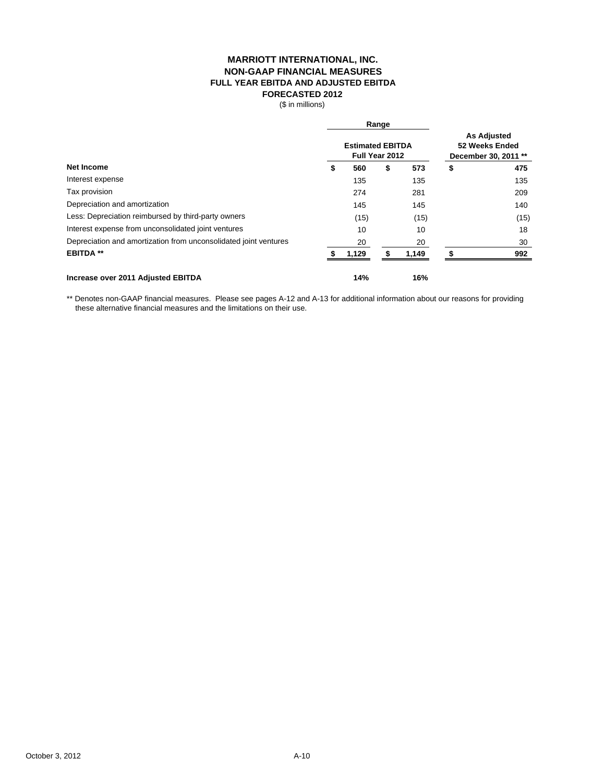#### **MARRIOTT INTERNATIONAL, INC. FULL YEAR EBITDA AND ADJUSTED EBITDA FORECASTED 2012 NON-GAAP FINANCIAL MEASURES**

(\$ in millions)

|                                                                  |                                           | Range |                                                              |    |      |
|------------------------------------------------------------------|-------------------------------------------|-------|--------------------------------------------------------------|----|------|
| <b>Net Income</b>                                                | <b>Estimated EBITDA</b><br>Full Year 2012 |       | <b>As Adjusted</b><br>52 Weeks Ended<br>December 30, 2011 ** |    |      |
|                                                                  | \$<br>560                                 | \$    | 573                                                          | \$ | 475  |
| Interest expense                                                 | 135                                       |       | 135                                                          |    | 135  |
| Tax provision                                                    | 274                                       |       | 281                                                          |    | 209  |
| Depreciation and amortization                                    | 145                                       |       | 145                                                          |    | 140  |
| Less: Depreciation reimbursed by third-party owners              | (15)                                      |       | (15)                                                         |    | (15) |
| Interest expense from unconsolidated joint ventures              | 10                                        |       | 10                                                           |    | 18   |
| Depreciation and amortization from unconsolidated joint ventures | 20                                        |       | 20                                                           |    | 30   |
| <b>EBITDA **</b>                                                 | 1,129                                     |       | 1,149                                                        |    | 992  |
| Increase over 2011 Adjusted EBITDA                               | 14%                                       |       | 16%                                                          |    |      |

\*\* Denotes non-GAAP financial measures. Please see pages A-12 and A-13 for additional information about our reasons for providing these alternative financial measures and the limitations on their use.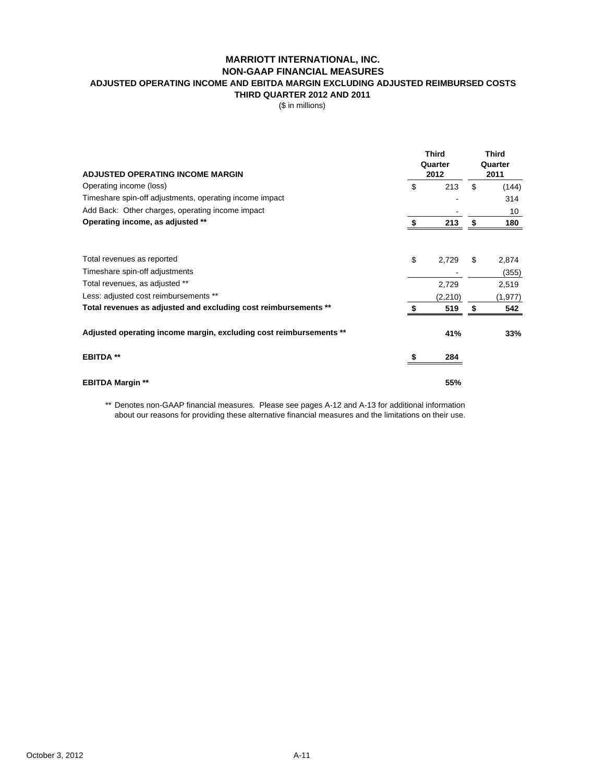# **MARRIOTT INTERNATIONAL, INC. NON-GAAP FINANCIAL MEASURES**

# **ADJUSTED OPERATING INCOME AND EBITDA MARGIN EXCLUDING ADJUSTED REIMBURSED COSTS**

**THIRD QUARTER 2012 AND 2011**

(\$ in millions)

| <b>ADJUSTED OPERATING INCOME MARGIN</b>                            | <b>Third</b><br>Quarter<br>2012 | <b>Third</b><br>Quarter<br>2011 |          |  |
|--------------------------------------------------------------------|---------------------------------|---------------------------------|----------|--|
| Operating income (loss)                                            | \$<br>213                       | \$                              | (144)    |  |
| Timeshare spin-off adjustments, operating income impact            |                                 |                                 | 314      |  |
| Add Back: Other charges, operating income impact                   |                                 |                                 | 10       |  |
| Operating income, as adjusted **                                   | \$<br>213                       | \$                              | 180      |  |
| Total revenues as reported                                         | \$<br>2,729                     | \$                              | 2,874    |  |
| Timeshare spin-off adjustments                                     |                                 |                                 | (355)    |  |
| Total revenues, as adjusted **                                     | 2,729                           |                                 | 2,519    |  |
| Less: adjusted cost reimbursements **                              | (2, 210)                        |                                 | (1, 977) |  |
| Total revenues as adjusted and excluding cost reimbursements **    | 519                             | S                               | 542      |  |
| Adjusted operating income margin, excluding cost reimbursements ** | 41%                             |                                 | 33%      |  |
| <b>EBITDA**</b>                                                    | 284                             |                                 |          |  |
| <b>EBITDA Margin **</b>                                            | 55%                             |                                 |          |  |

\*\* Denotes non-GAAP financial measures. Please see pages A-12 and A-13 for additional information about our reasons for providing these alternative financial measures and the limitations on their use.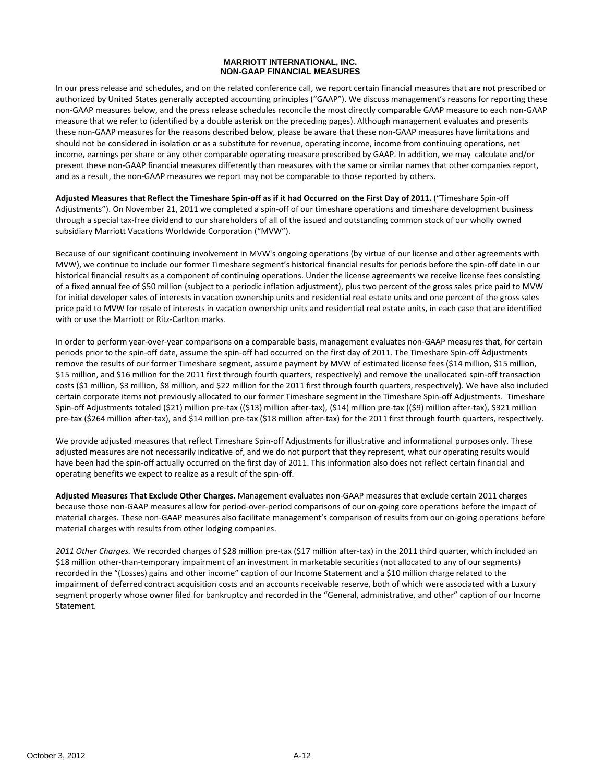#### **MARRIOTT INTERNATIONAL, INC. NON-GAAP FINANCIAL MEASURES**

In our press release and schedules, and on the related conference call, we report certain financial measures that are not prescribed or authorized by United States generally accepted accounting principles ("GAAP"). We discuss management's reasons for reporting these non‐GAAP measures below, and the press release schedules reconcile the most directly comparable GAAP measure to each non‐GAAP measure that we refer to (identified by a double asterisk on the preceding pages). Although management evaluates and presents these non‐GAAP measures for the reasons described below, please be aware that these non‐GAAP measures have limitations and should not be considered in isolation or as a substitute for revenue, operating income, income from continuing operations, net income, earnings per share or any other comparable operating measure prescribed by GAAP. In addition, we may calculate and/or present these non‐GAAP financial measures differently than measures with the same or similar names that other companies report, and as a result, the non‐GAAP measures we report may not be comparable to those reported by others.

Adjusted Measures that Reflect the Timeshare Spin-off as if it had Occurred on the First Day of 2011. ("Timeshare Spin-off Adjustments"). On November 21, 2011 we completed a spin‐off of our timeshare operations and timeshare development business through a special tax‐free dividend to our shareholders of all of the issued and outstanding common stock of our wholly owned subsidiary Marriott Vacations Worldwide Corporation ("MVW").

Because of our significant continuing involvement in MVW's ongoing operations (by virtue of our license and other agreements with MVW), we continue to include our former Timeshare segment's historical financial results for periods before the spin‐off date in our historical financial results as a component of continuing operations. Under the license agreements we receive license fees consisting of a fixed annual fee of \$50 million (subject to a periodic inflation adjustment), plus two percent of the gross sales price paid to MVW for initial developer sales of interests in vacation ownership units and residential real estate units and one percent of the gross sales price paid to MVW for resale of interests in vacation ownership units and residential real estate units, in each case that are identified with or use the Marriott or Ritz-Carlton marks.

In order to perform year-over-year comparisons on a comparable basis, management evaluates non-GAAP measures that, for certain periods prior to the spin‐off date, assume the spin‐off had occurred on the first day of 2011. The Timeshare Spin‐off Adjustments remove the results of our former Timeshare segment, assume payment by MVW of estimated license fees (\$14 million, \$15 million, \$15 million, and \$16 million for the 2011 first through fourth quarters, respectively) and remove the unallocated spin‐off transaction costs (\$1 million, \$3 million, \$8 million, and \$22 million for the 2011 first through fourth quarters, respectively). We have also included certain corporate items not previously allocated to our former Timeshare segment in the Timeshare Spin‐off Adjustments. Timeshare Spin‐off Adjustments totaled (\$21) million pre‐tax ((\$13) million after‐tax), (\$14) million pre‐tax ((\$9) million after‐tax), \$321 million pre-tax (\$264 million after-tax), and \$14 million pre-tax (\$18 million after-tax) for the 2011 first through fourth quarters, respectively.

We provide adjusted measures that reflect Timeshare Spin‐off Adjustments for illustrative and informational purposes only. These adjusted measures are not necessarily indicative of, and we do not purport that they represent, what our operating results would have been had the spin‐off actually occurred on the first day of 2011. This information also does not reflect certain financial and operating benefits we expect to realize as a result of the spin‐off.

**Adjusted Measures That Exclude Other Charges.** Management evaluates non‐GAAP measures that exclude certain 2011 charges because those non‐GAAP measures allow for period‐over‐period comparisons of our on‐going core operations before the impact of material charges. These non‐GAAP measures also facilitate management's comparison of results from our on‐going operations before material charges with results from other lodging companies.

*2011 Other Charges.* We recorded charges of \$28 million pre‐tax (\$17 million after‐tax) in the 2011 third quarter, which included an \$18 million other-than-temporary impairment of an investment in marketable securities (not allocated to any of our segments) recorded in the "(Losses) gains and other income" caption of our Income Statement and a \$10 million charge related to the impairment of deferred contract acquisition costs and an accounts receivable reserve, both of which were associated with a Luxury segment property whose owner filed for bankruptcy and recorded in the "General, administrative, and other" caption of our Income Statement.